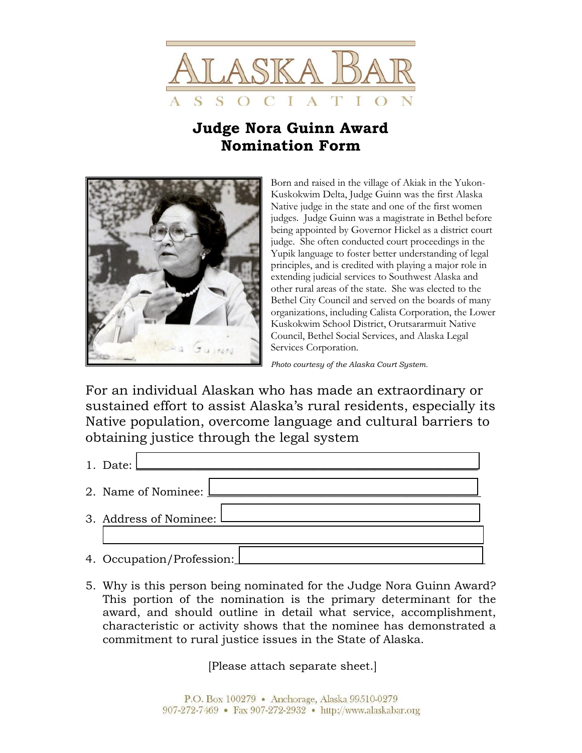

## **Judge Nora Guinn Award Nomination Form**



Born and raised in the village of Akiak in the Yukon-Kuskokwim Delta, Judge Guinn was the first Alaska Native judge in the state and one of the first women judges. Judge Guinn was a magistrate in Bethel before being appointed by Governor Hickel as a district court judge. She often conducted court proceedings in the Yupik language to foster better understanding of legal principles, and is credited with playing a major role in extending judicial services to Southwest Alaska and other rural areas of the state. She was elected to the Bethel City Council and served on the boards of many organizations, including Calista Corporation, the Lower Kuskokwim School District, Orutsararmuit Native Council, Bethel Social Services, and Alaska Legal Services Corporation.

*Photo courtesy of the Alaska Court System.* 

For an individual Alaskan who has made an extraordinary or sustained effort to assist Alaska's rural residents, especially its Native population, overcome language and cultural barriers to obtaining justice through the legal system

- 1. Date: <u>Letter and the set of the set of the set of the set of the set of the set of the set of the set of the set of the set of the set of the set of the set of the set of the set of the set of the set of the set of the</u>
- 2. Name of Nominee:
- 3. Address of Nominee:
- 4. Occupation/Profession:
- 5. Why is this person being nominated for the Judge Nora Guinn Award? This portion of the nomination is the primary determinant for the award, and should outline in detail what service, accomplishment, characteristic or activity shows that the nominee has demonstrated a commitment to rural justice issues in the State of Alaska.

[Please attach separate sheet.]